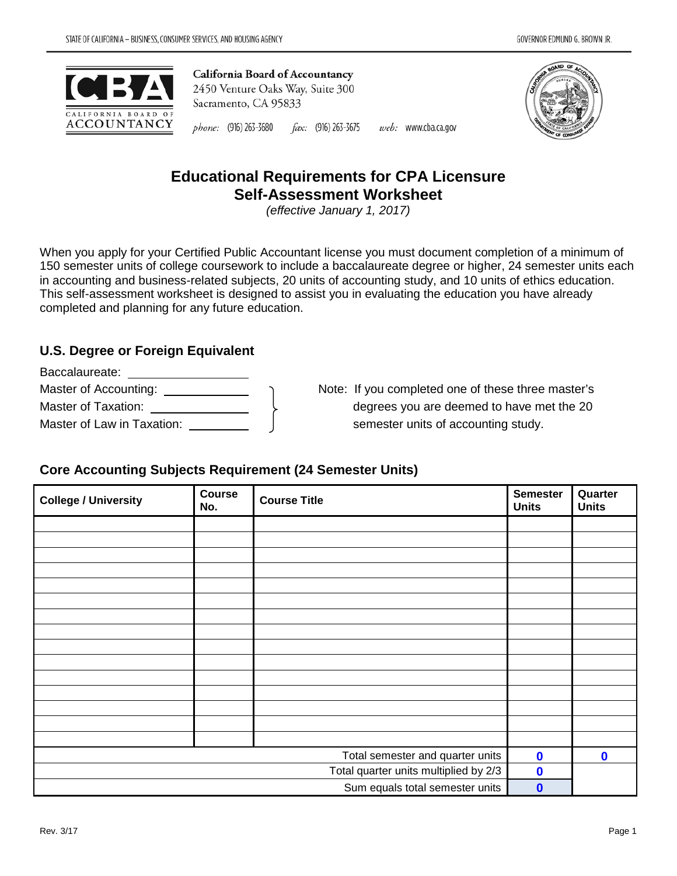



#### phone: (916) 263-3680 fax: (916) 263-3675 web: www.cba.ca.gov

# **Educational Requirements for CPA Licensure Self-Assessment Worksheet**

*(effective January 1, 2017)* 

When you apply for your Certified Public Accountant license you must document completion of a minimum of 150 semester units of college coursework to include a baccalaureate degree or higher, 24 semester units each in accounting and business-related subjects, 20 units of accounting study, and 10 units of ethics education. This self-assessment worksheet is designed to assist you in evaluating the education you have already completed and planning for any future education.

# **U.S. Degree or Foreign Equivalent**

| Baccalaureate:             |  |
|----------------------------|--|
| Master of Accounting:      |  |
| Master of Taxation:        |  |
| Master of Law in Taxation: |  |

Note: If you completed one of these three master's degrees you are deemed to have met the 20 semester units of accounting study.

# **Core Accounting Subjects Requirement (24 Semester Units)**

| <b>College / University</b>           | Course<br>No. | <b>Semester</b><br><b>Course Title</b><br><b>Units</b> |             | Quarter<br><b>Units</b> |
|---------------------------------------|---------------|--------------------------------------------------------|-------------|-------------------------|
|                                       |               |                                                        |             |                         |
|                                       |               |                                                        |             |                         |
|                                       |               |                                                        |             |                         |
|                                       |               |                                                        |             |                         |
|                                       |               |                                                        |             |                         |
|                                       |               |                                                        |             |                         |
|                                       |               |                                                        |             |                         |
|                                       |               |                                                        |             |                         |
|                                       |               |                                                        |             |                         |
|                                       |               |                                                        |             |                         |
|                                       |               |                                                        |             |                         |
|                                       |               |                                                        |             |                         |
|                                       |               |                                                        |             |                         |
|                                       |               |                                                        |             |                         |
|                                       |               |                                                        |             |                         |
| Total semester and quarter units      |               |                                                        | $\mathbf 0$ | $\mathbf 0$             |
| Total quarter units multiplied by 2/3 |               |                                                        | $\mathbf 0$ |                         |
| Sum equals total semester units       |               |                                                        | $\mathbf 0$ |                         |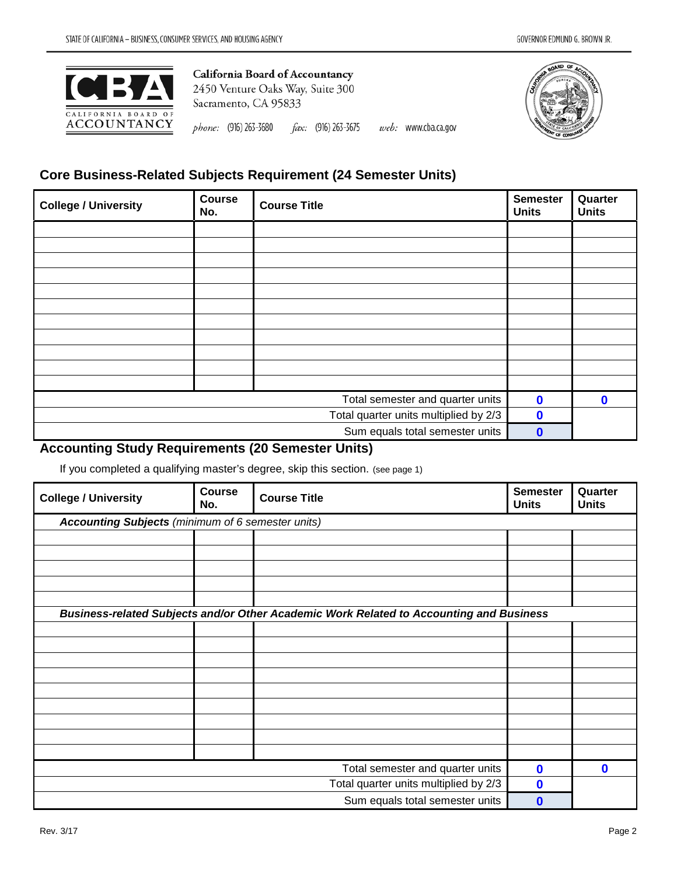

phone: (916) 263-3680  $\text{fax:}$  (916) 263-3675 web: www.cba.ca.gov



# **Core Business-Related Subjects Requirement (24 Semester Units)**

| <b>College / University</b>           | <b>Course</b><br>No. | <b>Course Title</b> | <b>Semester</b><br><b>Units</b> | Quarter<br><b>Units</b> |
|---------------------------------------|----------------------|---------------------|---------------------------------|-------------------------|
|                                       |                      |                     |                                 |                         |
|                                       |                      |                     |                                 |                         |
|                                       |                      |                     |                                 |                         |
|                                       |                      |                     |                                 |                         |
|                                       |                      |                     |                                 |                         |
|                                       |                      |                     |                                 |                         |
|                                       |                      |                     |                                 |                         |
|                                       |                      |                     |                                 |                         |
|                                       |                      |                     |                                 |                         |
|                                       |                      |                     |                                 |                         |
|                                       |                      |                     |                                 |                         |
| Total semester and quarter units      |                      |                     | $\mathbf 0$                     | $\mathbf{0}$            |
| Total quarter units multiplied by 2/3 |                      |                     | $\mathbf 0$                     |                         |
| Sum equals total semester units       |                      |                     | $\mathbf 0$                     |                         |

## **Accounting Study Requirements (20 Semester Units)**

If you completed a qualifying master's degree, skip this section. (see page 1)

| <b>College / University</b>                       | <b>Course</b><br>No. | <b>Course Title</b>                                                                     | <b>Semester</b><br><b>Units</b> | Quarter<br><b>Units</b> |
|---------------------------------------------------|----------------------|-----------------------------------------------------------------------------------------|---------------------------------|-------------------------|
| Accounting Subjects (minimum of 6 semester units) |                      |                                                                                         |                                 |                         |
|                                                   |                      |                                                                                         |                                 |                         |
|                                                   |                      |                                                                                         |                                 |                         |
|                                                   |                      |                                                                                         |                                 |                         |
|                                                   |                      |                                                                                         |                                 |                         |
|                                                   |                      |                                                                                         |                                 |                         |
|                                                   |                      | Business-related Subjects and/or Other Academic Work Related to Accounting and Business |                                 |                         |
|                                                   |                      |                                                                                         |                                 |                         |
|                                                   |                      |                                                                                         |                                 |                         |
|                                                   |                      |                                                                                         |                                 |                         |
|                                                   |                      |                                                                                         |                                 |                         |
|                                                   |                      |                                                                                         |                                 |                         |
|                                                   |                      |                                                                                         |                                 |                         |
|                                                   |                      |                                                                                         |                                 |                         |
|                                                   |                      |                                                                                         |                                 |                         |
|                                                   |                      |                                                                                         |                                 |                         |
| Total semester and quarter units                  |                      |                                                                                         | $\mathbf 0$                     | $\mathbf 0$             |
| Total quarter units multiplied by 2/3             |                      |                                                                                         | 0                               |                         |
| Sum equals total semester units                   |                      |                                                                                         | O                               |                         |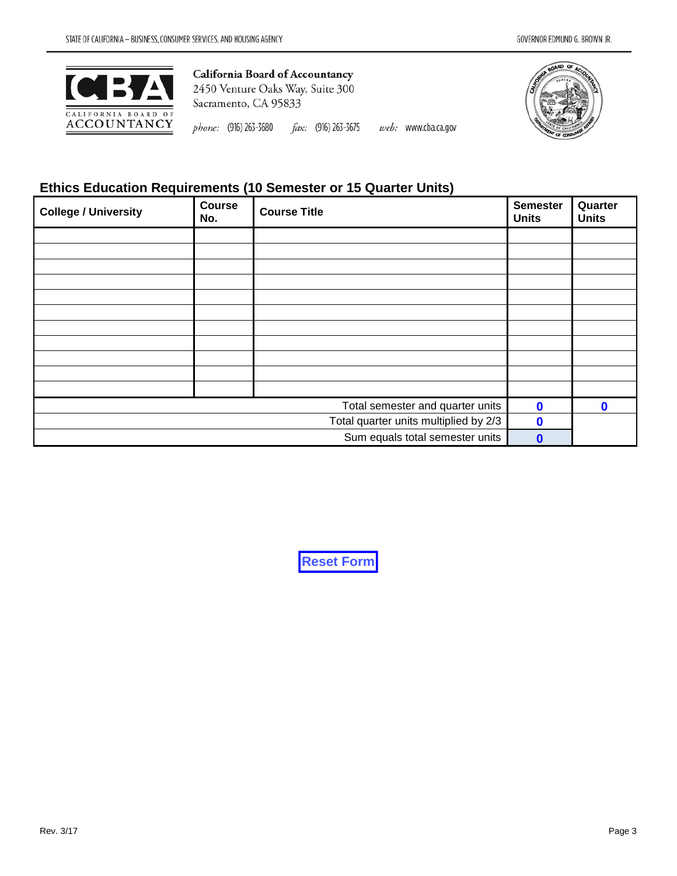

phone: (916) 263-3680  $\text{fax:}$  (916) 263-3675 web: www.cba.ca.gov



## **Ethics Education Requirements (10 Semester or 15 Quarter Units)**

| <b>College / University</b>           | Course<br>No. | <b>Semester</b><br><b>Course Title</b> |              | Quarter<br><b>Units</b> |
|---------------------------------------|---------------|----------------------------------------|--------------|-------------------------|
|                                       |               |                                        |              |                         |
|                                       |               |                                        |              |                         |
|                                       |               |                                        |              |                         |
|                                       |               |                                        |              |                         |
|                                       |               |                                        |              |                         |
|                                       |               |                                        |              |                         |
|                                       |               |                                        |              |                         |
|                                       |               |                                        |              |                         |
|                                       |               |                                        |              |                         |
|                                       |               |                                        |              |                         |
|                                       |               |                                        |              |                         |
| Total semester and quarter units      |               |                                        | $\mathbf{0}$ | $\mathbf{0}$            |
| Total quarter units multiplied by 2/3 |               |                                        | $\mathbf 0$  |                         |
| Sum equals total semester units       |               |                                        | $\mathbf{0}$ |                         |

**Reset Form**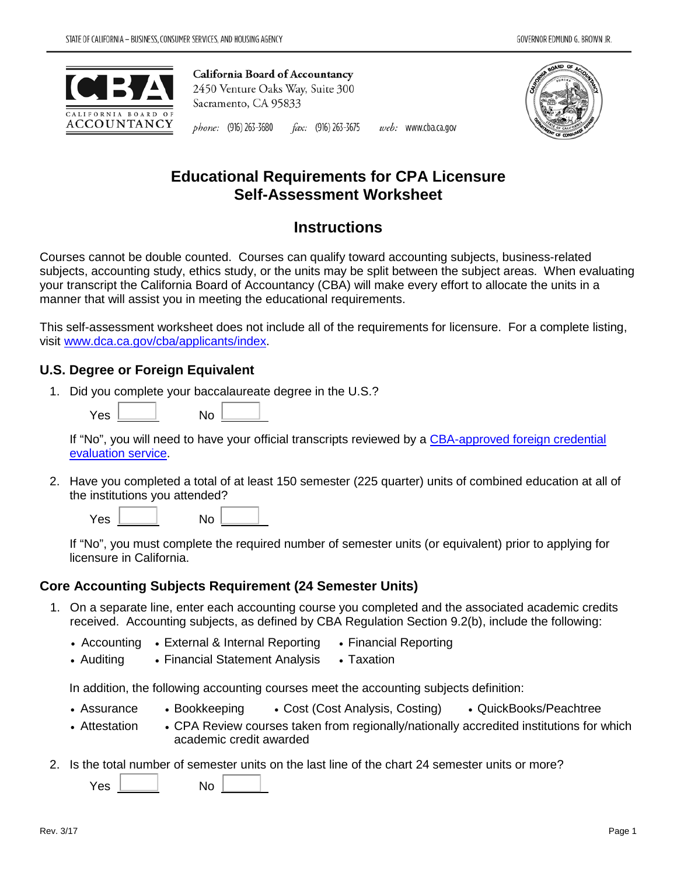



#### phone: (916) 263-3680 fax: (916) 263-3675 web: www.cba.ca.gov

# **Educational Requirements for CPA Licensure Self-Assessment Worksheet**

# **Instructions**

Courses cannot be double counted. Courses can qualify toward accounting subjects, business-related subjects, accounting study, ethics study, or the units may be split between the subject areas. When evaluating your transcript the California Board of Accountancy (CBA) will make every effort to allocate the units in a manner that will assist you in meeting the educational requirements.

This self-assessment worksheet does not include all of the requirements for licensure. For a complete listing, visit [www.dca.ca.gov/cba/applicants/index.](http://www.dca.ca.gov/cba/applicants/index.shtml)

### **U.S. Degree or Foreign Equivalent**

- 1. Did you complete your baccalaureate degree in the U.S.?
	- $Yes$  No  $No$

If "No", you will need to have your official transcripts reviewed by a [CBA-approved foreign credential](http://www.dca.ca.gov/cba/applicants/foreign.pdf)  [evaluation service.](http://www.dca.ca.gov/cba/applicants/foreign.pdf)

2. Have you completed a total of at least 150 semester (225 quarter) units of combined education at all of the institutions you attended?

| Yes | No |  |
|-----|----|--|
|     |    |  |

If "No", you must complete the required number of semester units (or equivalent) prior to applying for licensure in California.

### **Core Accounting Subjects Requirement (24 Semester Units)**

- 1. On a separate line, enter each accounting course you completed and the associated academic credits received. Accounting subjects, as defined by CBA Regulation Section 9.2(b), include the following:
	- Accounting External & Internal Reporting Financial Reporting
	- Auditing Financial Statement Analysis Taxation

In addition, the following accounting courses meet the accounting subjects definition:

- Assurance Bookkeeping Cost (Cost Analysis, Costing) QuickBooks/Peachtree
- Attestation CPA Review courses taken from regionally/nationally accredited institutions for which academic credit awarded
- 2. Is the total number of semester units on the last line of the chart 24 semester units or more?

Yes No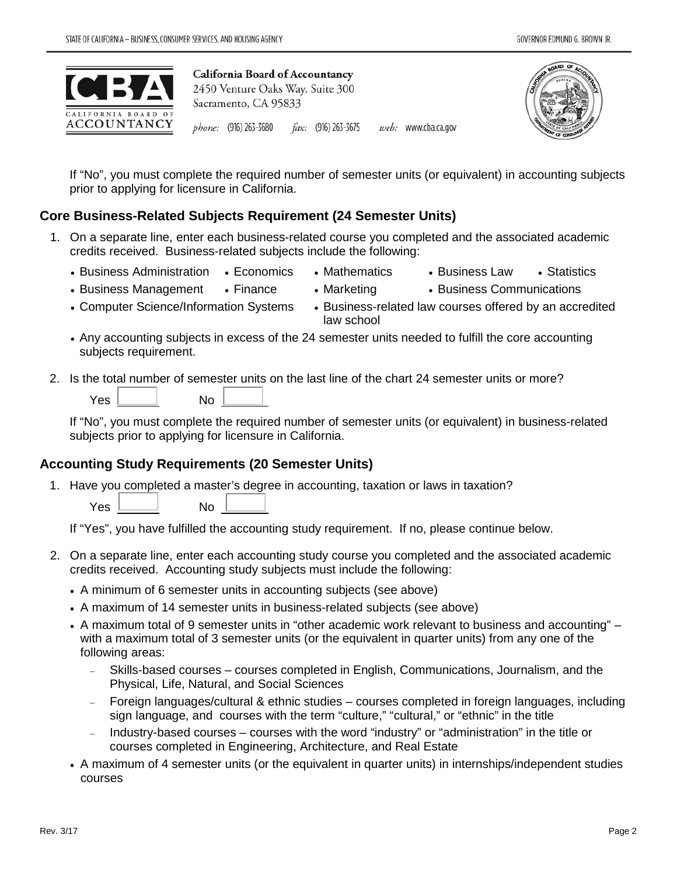

phone: (916) 263-3680 fax: (916) 263-3675 web: www.cba.ca.gov



If "No", you must complete the required number of semester units (or equivalent) in accounting subjects prior to applying for licensure in California.

## **Core Business-Related Subjects Requirement (24 Semester Units)**

- 1. On a separate line, enter each business-related course you completed and the associated academic credits received. Business-related subjects include the following:
	- Business Administration Economics Mathematics Business Law Statistics
		-
- 
- Business Management Finance Marketing Business Communications
- -
- 
- Computer Science/Information Systems Business-related law courses offered by an accredited law school
- Any accounting subjects in excess of the 24 semester units needed to fulfill the core accounting subjects requirement.
- 2. Is the total number of semester units on the last line of the chart 24 semester units or more?

If "No", you must complete the required number of semester units (or equivalent) in business-related subjects prior to applying for licensure in California.

# **Accounting Study Requirements (20 Semester Units)**

1. Have you completed a master's degree in accounting, taxation or laws in taxation?

 $Yes \quad \qquad$  No

If "Yes", you have fulfilled the accounting study requirement. If no, please continue below.

- 2. On a separate line, enter each accounting study course you completed and the associated academic credits received. Accounting study subjects must include the following:
	- A minimum of 6 semester units in accounting subjects (see above)
	- A maximum of 14 semester units in business-related subjects (see above)
	- A maximum total of 9 semester units in "other academic work relevant to business and accounting" with a maximum total of 3 semester units (or the equivalent in quarter units) from any one of the following areas:
		- − Skills-based courses courses completed in English, Communications, Journalism, and the Physical, Life, Natural, and Social Sciences
		- − Foreign languages/cultural & ethnic studies courses completed in foreign languages, including sign language, and courses with the term "culture," "cultural," or "ethnic" in the title
		- − Industry-based courses courses with the word "industry" or "administration" in the title or courses completed in Engineering, Architecture, and Real Estate
	- A maximum of 4 semester units (or the equivalent in quarter units) in internships/independent studies courses